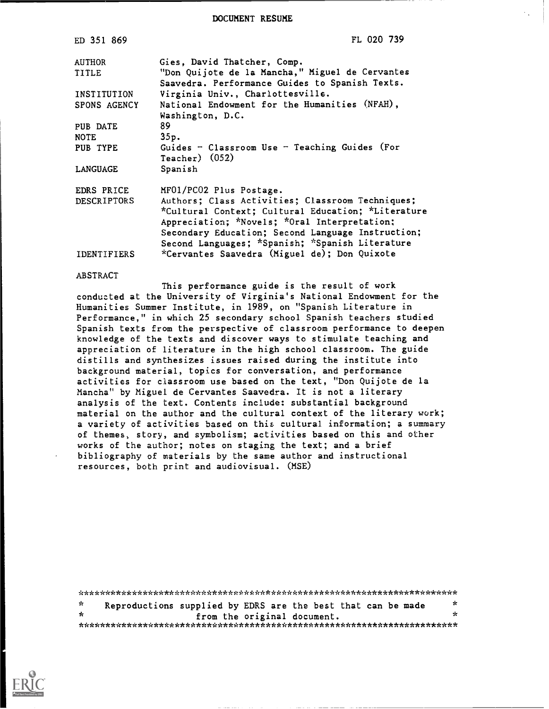DOCUMENT RESUME

| ED 351 869         | FL 020 739                                                                                        |
|--------------------|---------------------------------------------------------------------------------------------------|
| <b>AUTHOR</b>      | Gies, David Thatcher, Comp.                                                                       |
| TITLE              | "Don Quijote de la Mancha," Miguel de Cervantes<br>Saavedra. Performance Guides to Spanish Texts. |
| INSTITUTION        | Virginia Univ., Charlottesville.                                                                  |
| SPONS AGENCY       | National Endowment for the Humanities (NFAH),                                                     |
|                    | Washington, D.C.                                                                                  |
| PUB DATE           | 89.                                                                                               |
| <b>NOTE</b>        | 35p.                                                                                              |
| PUB TYPE           | Guides - Classroom Use - Teaching Guides (For<br>$Teacher)$ (052)                                 |
| LANGUAGE           | Spanish                                                                                           |
| EDRS PRICE         | MF01/PC02 Plus Postage.                                                                           |
| DESCRIPTORS        | Authors; Class Activities; Classroom Techniques;                                                  |
|                    | *Cultural Context; Cultural Education; *Literature                                                |
|                    | Appreciation; *Novels; *Oral Interpretation;                                                      |
|                    | Secondary Education; Second Language Instruction;                                                 |
|                    | Second Languages; *Spanish; *Spanish Literature                                                   |
| <b>IDENTIFIERS</b> | *Cervantes Saavedra (Miguel de); Don Quixote                                                      |

#### **ABSTRACT**

This performance guide is the result of work conducted at the University of Virginia's National Endowment for the Humanities Summer Institute, in 1989, on "Spanish Literature in Performance," in which 25 secondary school Spanish teachers studied Spanish texts from the perspective of classroom performance to deepen knowledge of the texts and discover ways to stimulate teaching and appreciation of literature in the high school classroom. The guide distills and synthesizes issues raised during the institute into background material, topics for conversation, and performance activities for classroom use based on the text, "Don Quijote de la Mancha" by Miguel de Cervantes Saavedra. It is not a literary analysis of the text. Contents include: substantial background material on the author and the cultural context of the literary work; a variety of activities based on this cultural information; a summary of themes, story, and symbolism; activities based on this and other works of the author; notes on staging the text; and a brief bibliography of materials by the same author and instructional resources, both print and audiovisual. (MSE)

| ÷. | Reproductions supplied by EDRS are the best that can be made |                             |  | $\mathbf{r}$ |
|----|--------------------------------------------------------------|-----------------------------|--|--------------|
| ÷. |                                                              | from the original document. |  | $\mathbf{r}$ |
|    |                                                              |                             |  |              |

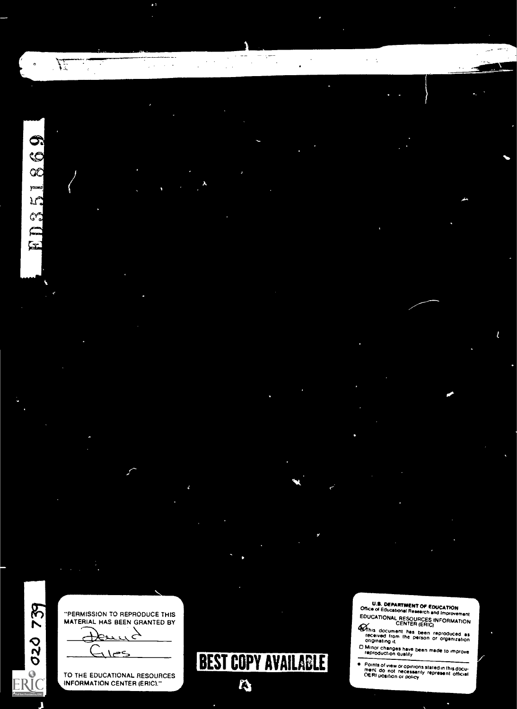

020739 ERIC

| "PERMISSION TO REPRODUCE THIS |
|-------------------------------|
| MATERIAL HAS BEEN GRANTED BY  |
|                               |
|                               |
|                               |

TO THE EDUCATIONAL RESOURCES **INFORMATION CENTER (ERIC)."** 

# **BEST COPY AVAILABLE**

 $\boldsymbol{\mathcal{R}}$ 

U.S. DEPARTMENT OF EDUCATION<br>Office of Educational Research and Improvement<br>EDUCATIONAL RESOURCES INFORMATION<br>CENTER (ERIC)

White GENIER (ERIC)<br>The facewed from the person or organization<br>originating it.<br>The change have been made to improve

Chanceman is the been made to improve<br>In Minor changes have been made to improve

Points of view or opinions stated in this document do not inecessarily represent official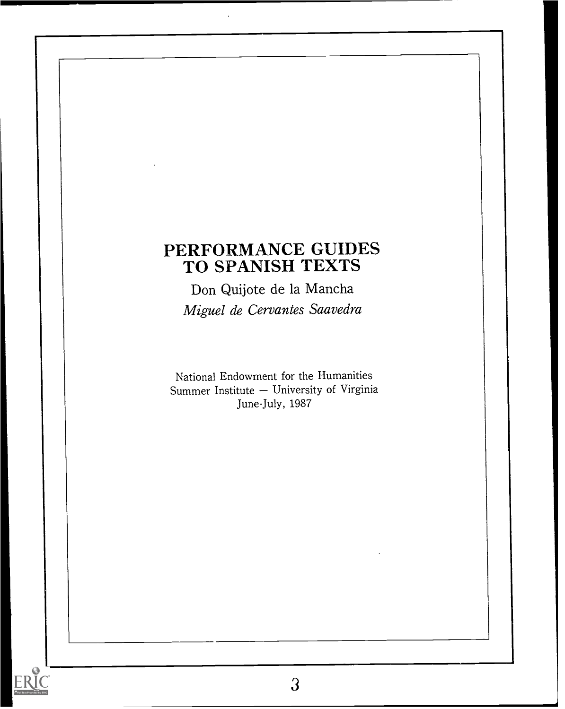# PERFORMANCE GUIDES TO SPANISH TEXTS

Don Quijote de la Mancha Miguel de Cervantes Saavedra

National Endowment for the Humanities Summer Institute - University of Virginia June-July, 1987

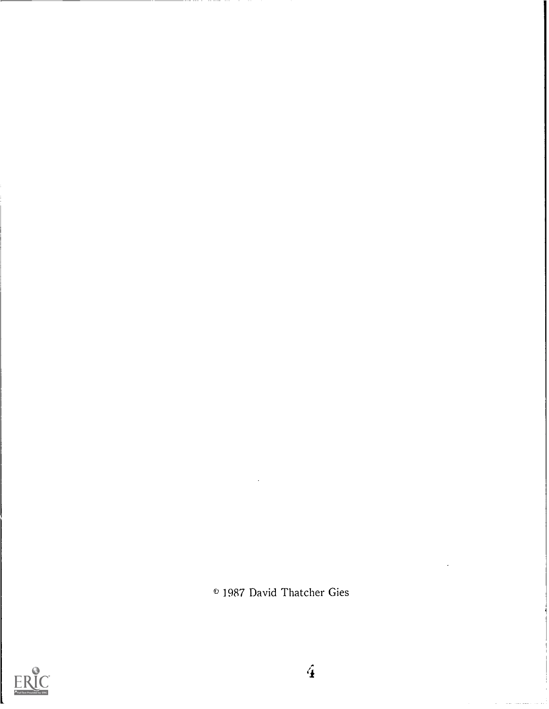1987 David Thatcher Gies

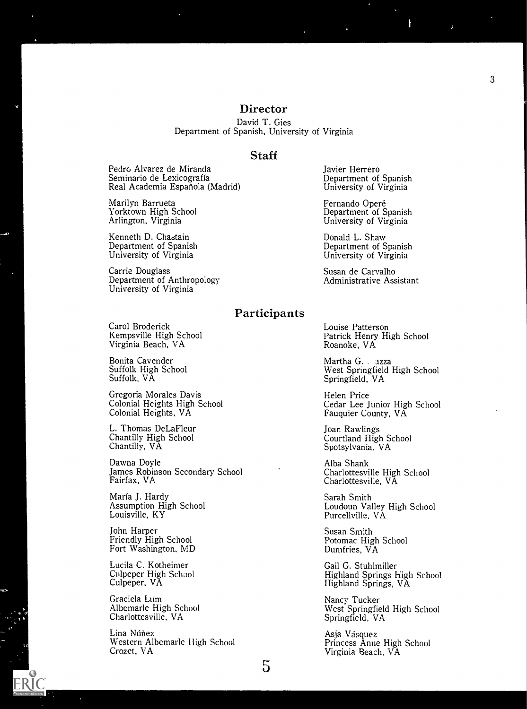#### **Director**

David T. Gies Department of Spanish, University of Virginia

#### **Staff**

Pedro Alvarez de Miranda Seminario de Lexicograffa Real Academia Espanola (Madrid)

Marilyn Barrueta Yorktown High School Arlington, Virginia

Kenneth D. Chastain Department of Spanish University of Virginia

Carrie Douglass Department of Anthropology University of Virginia

#### Participants

Carol Broderick Kempsville High School Virginia Beach, VA

Bonita Cavender Suffolk High School Suffolk, VA

Gregoria Morales Davis Colonial Heights High School Colonial Heights, VA

L. Thomas DeLaFleur Chantilly High School Chantilly, VA

Dawna Doyle James Robinson Secondary School Fairfax, VA

Maria J. Hardy Assumption High School Louisville, KY

John Harper Friendly High School Fort Washington, MD

Lucila C. Kotheimer Culpeper High School Culpeper, VA

Graciela Lum Albemarle High School Charlottesville, VA

Lina Núñez Western Albemarle High School Crozet, VA

Javier Herrero Department of Spanish University of Virginia

Fernando Operé Department of Spanish University of Virginia

Donald L. Shaw Department of Spanish University of Virginia

Susan de Carvalho Administrative Assistant

Louise Patterson Patrick Henry High School Roanoke, VA

Martha G. azza West Springfield High School Springfield, VA

Helen Price Cedar Lee Junior High School Fauquier County, VA

Joan Rawlings Courtland High School Spotsylvania, VA

Alba Shank Charlottesville High School Charlottesville, VA

Sarah Smith Loudoun Valley High School Purcellville, VA

Susan Smith Potomac High School Dumfries, VA

Gail G. Stuhlmiller Highland Springs high School Highland Springs, VA

Nancy Tucker West Springfield High School Springfield, VA

Asja Vásquez Princess Anne High School Virginia Beach, VA

3

5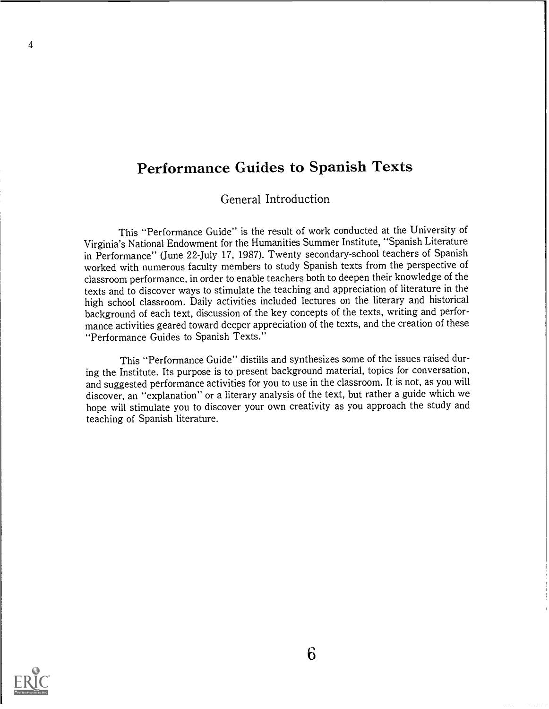# Performance Guides to Spanish Texts

General Introduction

This "Performance Guide" is the result of work conducted at the University of Virginia's National Endowment for the Humanities Summer Institute, "Spanish Literature in Performance" (June 22-July 17, 1987). Twenty secondary-school teachers of Spanish worked with numerous faculty members to study Spanish texts from the perspective of classroom performance, in order to enable teachers both to deepen their knowledge of the texts and to discover ways to stimulate the teaching and appreciation of literature in the high school classroom. Daily activities included lectures on the literary and historical background of each text, discussion of the key concepts of the texts, writing and performance activities geared toward deeper appreciation of the texts, and the creation of these "Performance Guides to Spanish Texts."

This "Performance Guide" distills and synthesizes some of the issues raised during the Institute. Its purpose is to present background material, topics for conversation, and suggested performance activities for you to use in the classroom. It is not, as you will discover, an "explanation" or a literary analysis of the text, but rather a guide which we hope will stimulate you to discover your own creativity as you approach the study and teaching of Spanish literature.



4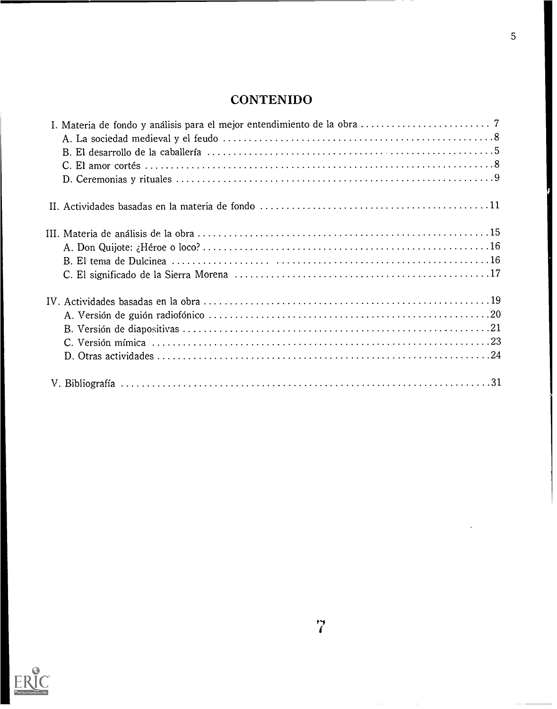# **CONTENIDO**

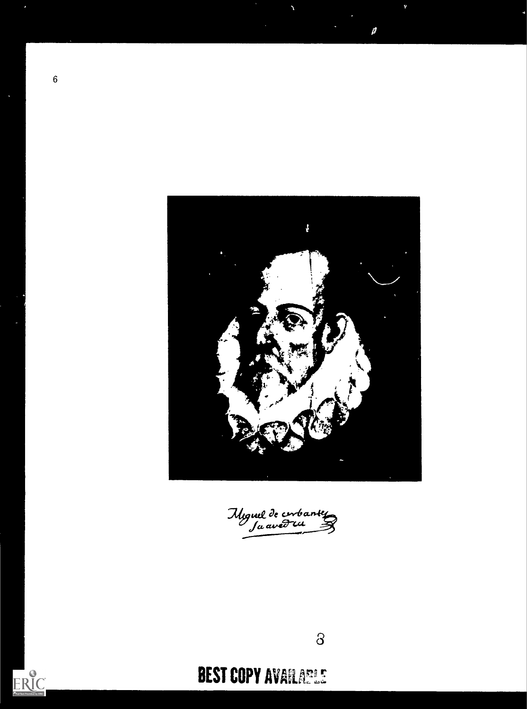





 $\delta$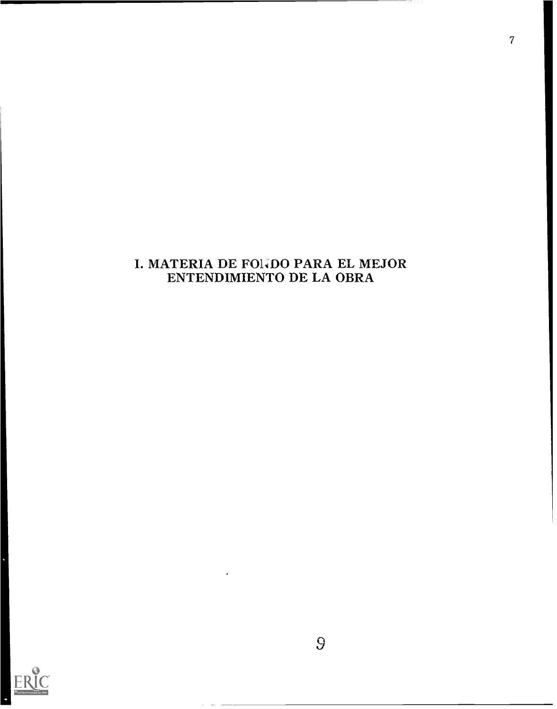# I. MATERIA DE FOI DO PARA EL MEJOR<br>ENTENDIMIENTO DE LA OBRA



 $\overline{7}$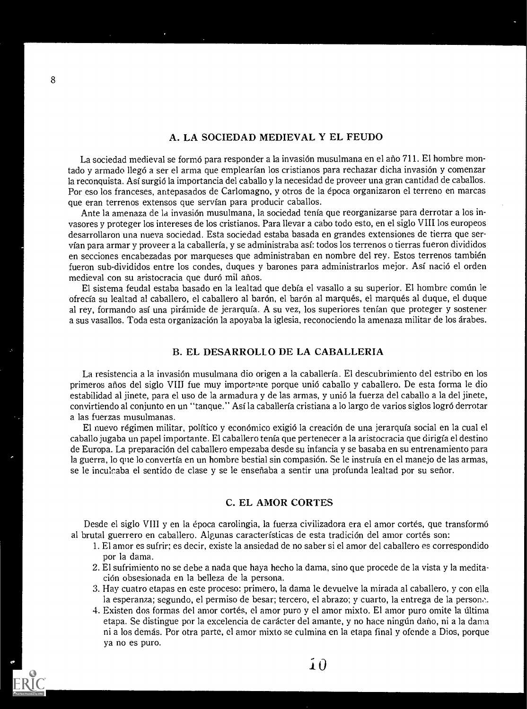#### A. LA SOCIEDAD MEDIEVAL Y EL FEUDO

La sociedad medieval se formó para responder a la invasión musulmana en el año 711. El hombre montado y armado llegó a ser el arma que emplearían los cristianos para rechazar dicha invasión y comenzar la reconquista. Asi surgio la importancia del caballo y la necesidad de proveer una gran cantidad de caballos. Por eso los franceses, antepasados de Carlomagno, y otros de la epoca organizaron el terreno en marcas que eran terrenos extensos que servfan para producir caballos.

Ante la amenaza de la invasión musulmana, la sociedad tenía que reorganizarse para derrotar a los invasores y proteger los intereses de los cristianos. Para llevar a cabo todo esto, en el siglo VIII los europeos desarrollaron una nueva sociedad. Esta sociedad estaba basada en grandes extensiones de tierra que ser-Wan para armar y proveer a la caballerfa, y se administraba asi: todos los terrenos o tierras fueron divididos en secciones encabezadas por marqueses que administraban en nombre del rey. Estos terrenos tambien fueron sub-divididos entre los condes, duques y barones para administrarlos mejor. Así nació el orden medieval con su aristocracia que duró mil años.

El sistema feudal estaba basado en la lealtad que debía el vasallo a su superior. El hombre común le ofrecia su lealtad al caballero, el caballero al baron, el baron al marques, el marques al duque, el duque al rey, formando asi una piramide de jerarquia. A su vez, los superiores tenfan que proteger y sostener a sus vasallos. Toda esta organización la apoyaba la iglesia, reconociendo la amenaza militar de los árabes.

#### B. EL DESARROLL 0 DE LA CABALLERIA

La resistencia a la invasion musulmana dio origen a la caballerfa. El descubrimiento del estribo en los primeros años del siglo VIII fue muy importante porque unió caballo y caballero. De esta forma le dio estabilidad al jinete, para el uso de la armadura y de las armas, y unió la fuerza del caballo a la del jinete, convirtiendo al conjunto en un "tanque." Asi la caballerfa cristiana a lo largo de varios siglos logro derrotar a las fuerzas musulmanas.

El nuevo régimen militar, político y económico exigió la creación de una jerarquía social en la cual el caballo jugaba un papel importante. El caballero tenia que pertenecer a la aristocracia que dirigia el destino de Europa. La preparación del caballero empezaba desde su infancia y se basaba en su entrenamiento para la guerra, lo que lo convertía en un hombre bestial sin compasión. Se le instruía en el manejo de las armas, se le inculaba el sentido de clase y se le enseñaba a sentir una profunda lealtad por su señor.

#### C. EL AMOR CORTES

Desde el siglo VIII y en la época carolingia, la fuerza civilizadora era el amor cortés, que transformó al brutal guerrero en caballero. Algunas características de esta tradición del amor cortés son:

- 1. El amor es sufrir; es decir, existe la ansiedad de no saber si el amor del caballero es correspondido por la dama.
- 2. El sufrimiento no se debe a nada que haya hecho la dama, sino que procede de la vista y la meditacion obsesionada en la belleza de la persona.
- 3. Hay cuatro etapas en este proceso: primero, la dama le devuelve la mirada al caballero, y con ella la esperanza; segundo, el permiso de besar; tercero, el abrazo; y cuarto, la entrega de la person...
- 4. Existen dos formas del amor cortés, el amor puro y el amor mixto. El amor puro omite la última etapa. Se distingue por la excelencia de caracter del amante, y no hace ningdn datio, ni a la dama ni a los demas. Por otra parte, el amor mixto se culmina en la etapa final y ofende a Dios, porque ya no es puro.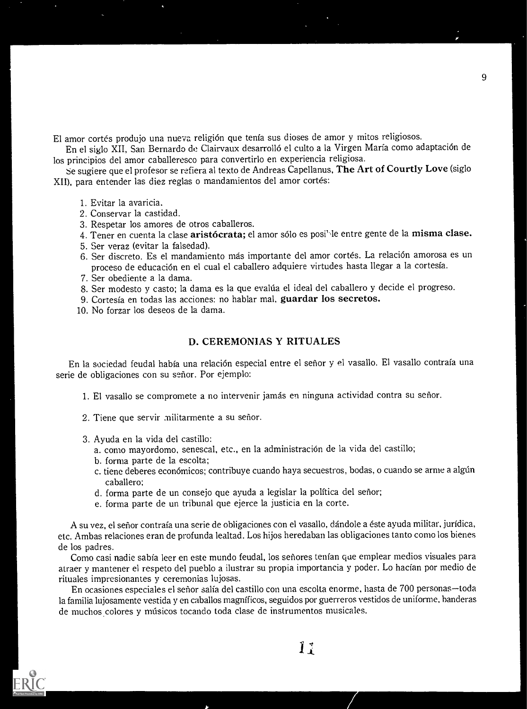El amor cortés produjo una nueva religión que tenía sus dioses de amor y mitos religiosos.

En el siglo XII, San Bernardo de Clairvaux desarrolló el culto a la Virgen María como adaptación de los principios del amor caballeresco para convertirlo en experiencia religiosa.

Se sugiere que el profesor se refiera al texto de Andreas Capellanus, The Art of Courtly Love (siglo XII), para entender las diez reglas o mandamientos del amor cortés:

- 1. Evitar la avaricia.
- 2. Conservar la castidad.
- 3. Respetar los amores de otros caballeros.
- 4. Tener en cuenta la clase aristócrata; el amor sólo es posible entre gente de la misma clase.
- 5. Ser veraz (evitar la falsedad).
- 6. Ser discreto. Es el mandamiento mas importante del amor cortes. La relacion amorosa es un proceso de educacion en el cual el caballero adquiere virtudes hasta llegar a la cortesfa.
- 7. Ser obediente a la dama.
- 8. Ser modesto y casto; la dama es la que evahla el ideal del caballero y decide el progreso.
- 9. Cortesfa en todas las acciones: no hablar mal, guardar los secretos.
- 10. No forzar los deseos de la dama.

#### D. CEREMONIAS Y RITUALES

En la sociedad feudal habfa una relacion especial entre el senor y el vasallo. El vasallo contrafa una serie de obligaciones con su senor. Por ejemplo:

- 1. El vasallo se compromete a no intervenir jamas en ninguna actividad contra su senor.
- 2. Tiene que servir militarmente a su señor.
- 3. Ayuda en la vida del castillo:
	- a. como mayordomo, senescal, etc., en la administracion de la vida del castillo;
	- b. forma parte de la escolta;
	- c. tiene deberes económicos; contribuye cuando haya secuestros, bodas, o cuando se arme a algún caballero;
	- d. forma parte de un consejo que ayuda a legislar la polftica del senor;
	- e. forma parte de un tribunal que ejerce la justicia en la corte.

A su vez, el señor contraía una serie de obligaciones con el vasallo, dándole a éste ayuda militar, jurídica, etc. Ambas relaciones eran de profunda lealtad. Los hijos heredaban las obligaciones tanto como los bienes de los padres.

Como casi nadie sabfa leer en este mundo feudal, los senores tenfan que emplear medios visuales para atraer y mantener el respeto del pueblo a ilustrar su propia importancia y poder. Lo hacfan por medio de rituales impresionantes y ceremonias lujosas.

En ocasiones especiales el señor salía del castillo con una escolta enorme, hasta de 700 personas—toda la familia lujosamente vestida y en caballos magnificos, seguidos por guerreros vestidos de uniforme, handeras de muchos colores y músicos tocando toda clase de instrumentos musicales.

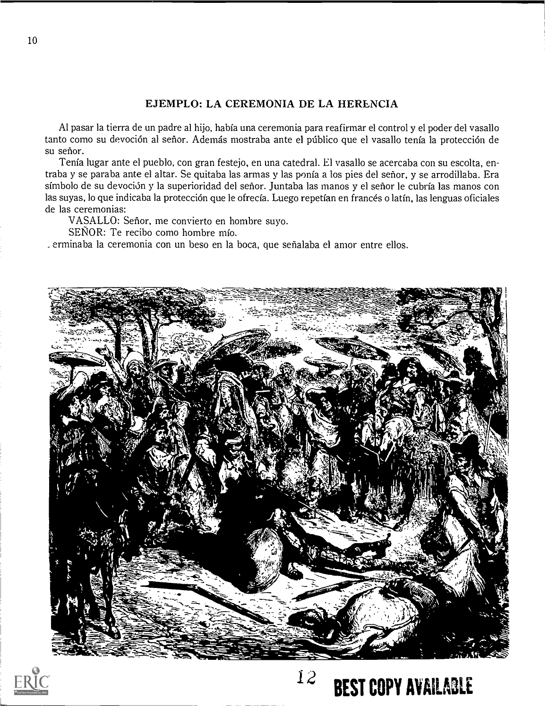#### EJEMPLO: LA CEREMONIA DE LA HERENCIA

Al pasar la tierra de un padre al hijo, habfa una ceremonia para reafirmar el control y el poder del vasallo tanto como su devoción al señor. Además mostraba ante el público que el vasallo tenía la protección de su senor.

Tenfa lugar ante el pueblo, con gran festejo, en una catedral. El vasallo se acercaba con su escolta, entraba y se paraba ante el altar. Se quitaba las armas y las ponfa a los pies del senor, y se arrodillaba. Era símbolo de su devoción y la superioridad del señor. Juntaba las manos y el señor le cubría las manos con las suyas, lo que indicaba la protección que le ofrecía. Luego repetían en francés o latín, las lenguas oficiales de las ceremonias:

VASALLO: Senor, me convierto en hombre suyo.

SENOR: Te recibo como hombre mfo.

\_ erminaba la ceremonia con un beso en la boca, que senalaba el amor entre ellos.



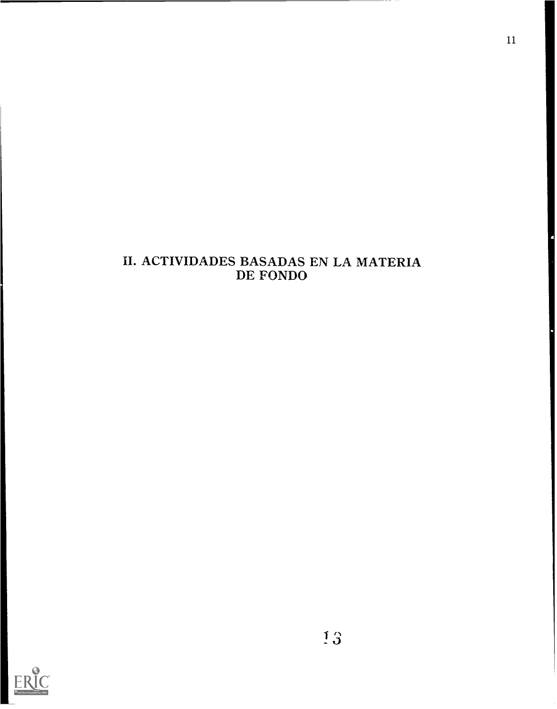# II. ACTIVIDADES BASADAS EN LA MATERIA DE FONDO

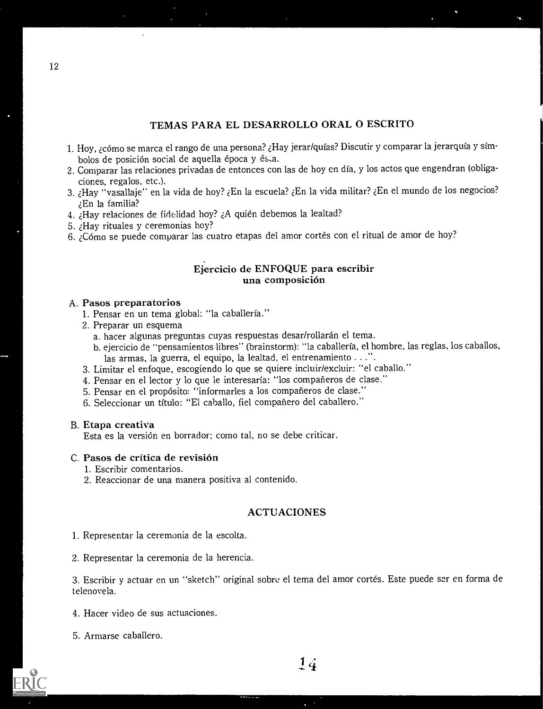#### TEMAS PARA EL DESARROLLO ORAL 0 ESCRITO

- 1. Hoy, ¿cómo se marca el rango de una persona? ¿Hay jerar/quías? Discutir y comparar la jerarquía y símbolos de posición social de aquella época y és, a.
- 2. Comparar las relaciones privadas de entonces con las de hoy en día, y los actos que engendran (obligaciones, regalos, etc.).
- 3. ¿Hay "vasallaje" en la vida de hoy? ¿En la escuela? ¿En la vida militar? ¿En el mundo de los negocios? ¿En la familia?
- 4. Hay relaciones de fidelidad hoy? ¿A quién debemos la lealtad?
- 5. ¿Hay rituales y ceremonias hoy?
- 6. ¿Cómo se puede comparar las cuatro etapas del amor cortés con el ritual de amor de hoy?

#### Ejercicio de ENFOQUE para escribir una composición

#### A. Pasos preparatorios

- 1. Pensar en un tema global: "la caballería."
- 2. Preparar un esquema
	- a. hacer algunas preguntas cuyas respuestas desar/rollarán el tema.
	- b. ejercicio de "pensamientos libres" (brainstorm): "la caballerfa, el hombre, las reglas, los caballos, las armas, la guerra, el equipo, la lealtad, el entrenamiento . . .".
- 3. Limitar el enfoque, escogiendo lo que se quiere incluir/excluir: "el caballo."
- 4. Pensar en el lector y lo que le interesarfa: "los compafieros de clase."
- 5. Pensar en el propósito: "informarles a los compañeros de clase."
- 6. Seleccionar un título: "El caballo, fiel compañero del caballero."

#### B. Etapa creativa

Esta es la version en borrador; como tal, no se debe criticar.

#### C. Pasos de critica de revision

- 1. Escribir comentarios.
- 2. Reaccionar de una manera positiva al contenido.

#### ACTUACIONES

- 1. Representar la ceremonia de la escolta.
- 2. Representar la ceremonia de la herencia.

3. Escribir y actuar en un "sketch" original sobre el tema del amor cortes. Este puede ser en forma de telenovela.

- 4. Hacer video de sus actuaciones.
- 5. Armarse caballero.



 $\frac{1}{4}$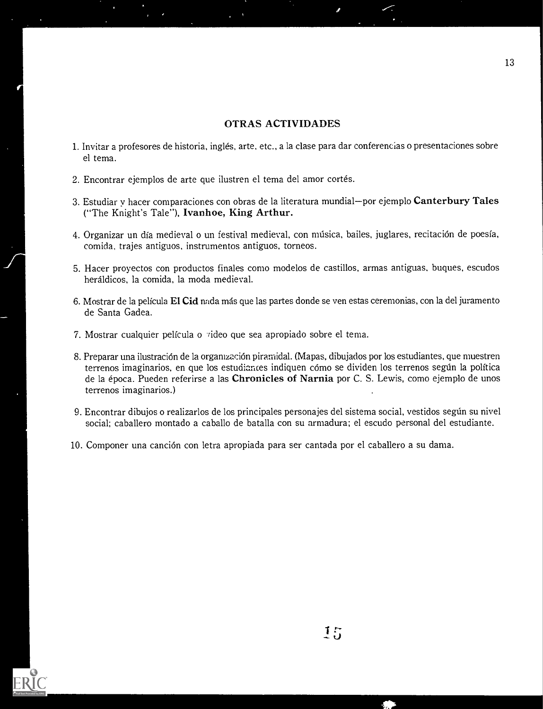#### OTRAS ACTIVIDADES

- 1. Invitar a profesores de historia, ingles, arte, etc., a la clase para dar conferencias o presentaciones sobre el tema.
- 2. Encontrar ejemplos de arte que ilustren el tema del amor cortés.
- 3. Estudiar y hacer comparaciones con obras de la literatura mundial-por ejemplo Canterbury Tales ("The Knight's Tale"), Ivanhoe, King Arthur.
- 4. Organizar un dia medieval o un festival medieval, con musica, bailes, juglares, recitacion de poesfa, comida, trajes antiguos, instrumentos antiguos, torneos.
- 5. Hacer proyectos con productos finales como modelos de castillos, armas antiguas, buques, escudos heraldicos, la comida, la moda medieval.
- 6. Mostrar de la pelicula El Cid nada mas que las partes donde se ven estas ceremonias, con la del juramento de Santa Gadea.
- 7. Mostrar cualquier pelicula o iideo que sea apropiado sobre el tema.
- 8. Preparar una ilustración de la organización piramidal. (Mapas, dibujados por los estudiantes, que muestren terrenos imaginarios, en que los estudiantes indiquen como se dividen los terrenos segdn la politica de la época. Pueden referirse a las **Chronicles of Narnia** por C. S. Lewis, como ejemplo de unos terrenos imaginarios.)
- 9. Encontrar dibujos o realizarlos de los principales personajes del sistema social, vestidos segun su nivel social; caballero montado a caballo de batalla con su armadura; el escudo personal del estudiante.
- 10. Componer una canción con letra apropiada para ser cantada por el caballero a su dama.

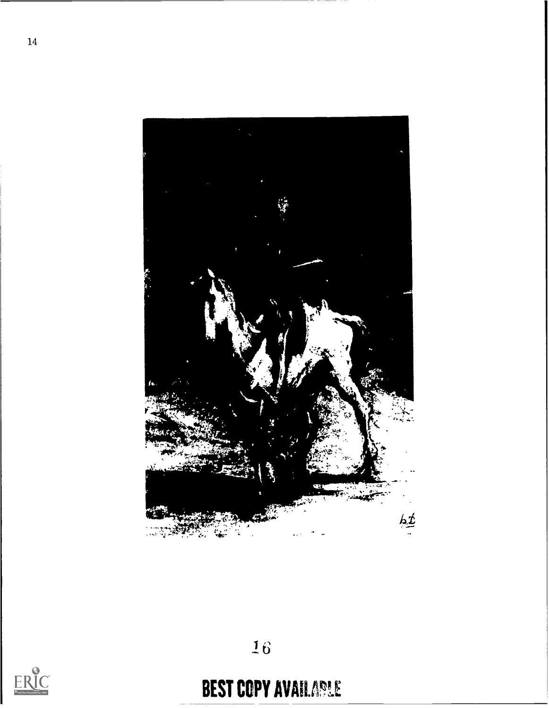



# **BEST COPY AVAILABLE**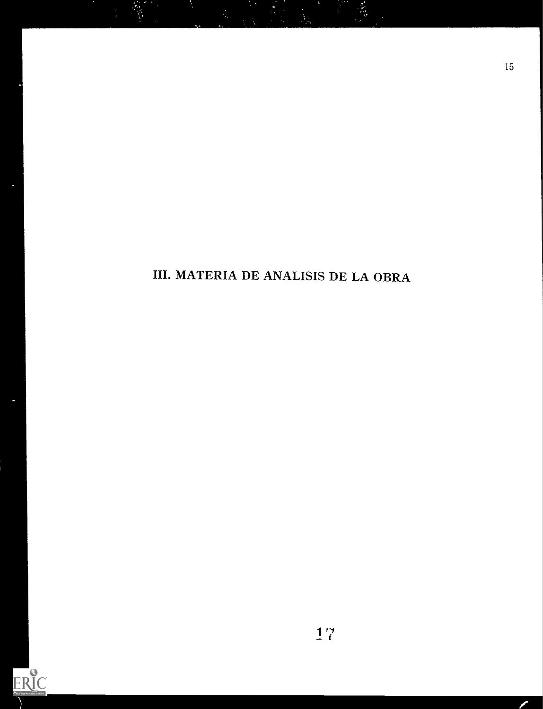

ą

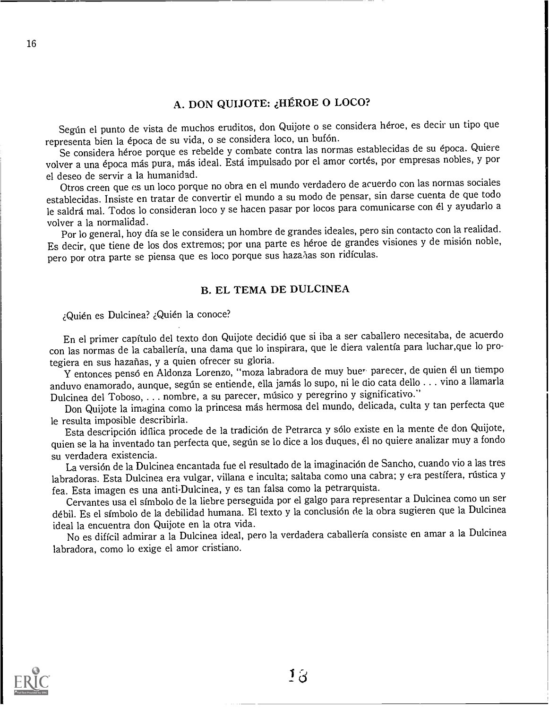## A. DON QUIJOTE: ¿HÉROE O LOCO?

Según el punto de vista de muchos eruditos, don Quijote o se considera héroe, es decir un tipo que representa bien la época de su vida, o se considera loco, un bufón.

Se considera heroe porque es rebelde y combate contra las normas establecidas de su epoca. Quiere volver a una época más pura, más ideal. Está impulsado por el amor cortés, por empresas nobles, y por el deseo de servir a la humanidad.

Otros creen que es un loco porque no obra en el mundo verdadero de acuerdo con las normas sociales establecidas. Insiste en tratar de convertir el mundo a su modo de pensar, sin darse cuenta de que todo le saldrá mal. Todos lo consideran loco y se hacen pasar por locos para comunicarse con él y ayudarlo a volver a la normalidad.

Por lo general, hoy dfa se le considera un hombre de grandes ideales, pero sin contacto con la realidad. Es decir, que tiene de los dos extremos; por una parte es héroe de grandes visiones y de misión noble, pero por otra parte se piensa que es loco porque sus hazañas son ridículas.

#### B. EL TEMA DE DULCINEA

¿Quién es Dulcinea? ¿Quién la conoce?

En el primer capítulo del texto don Quijote decidió que si iba a ser caballero necesitaba, de acuerdo con las normas de la caballería, una dama que lo inspirara, que le diera valentía para luchar, que lo protegiera en sus hazafias, y a quien ofrecer su gloria.

Y entonces pensó en Aldonza Lorenzo, "moza labradora de muy buer parecer, de quien él un tiempo anduvo enamorado, aunque, según se entiende, ella jamás lo supo, ni le dio cata dello . . . vino a llamarla Dulcinea del Toboso, ... nombre, a su parecer, músico y peregrino y significativo."

Don Quijote la imagina como la princesa mas hermosa del mundo, delicada, culta y tan perfecta que le resulta imposible describirla.

Esta descripción idílica procede de la tradición de Petrarca y sólo existe en la mente de don Quijote, quien se la ha inventado tan perfecta que, según se lo dice a los duques, él no quiere analizar muy a fondo su verdadera existencia.

La versión de la Dulcinea encantada fue el resultado de la imaginación de Sancho, cuando vio a las tres labradoras. Esta Dulcinea era vulgar, villana e inculta; saltaba como una cabra; y era pestífera, rústica y fea. Esta imagen es una anti-Dulcinea, y es tan falsa como la petrarquista.

Cervantes usa el simbolo de la liebre perseguida por el galgo para representar a Dulcinea como un ser debil. Es el simbolo de la debilidad humana. El texto y la conclusion de la obra sugieren que la Dulcinea ideal la encuentra don Quijote en la otra vida.

No es diffcil admirar a la Dulcinea ideal, pero la verdadera caballerfa consiste en amar a la Dulcinea labradora, como lo exige el amor cristiano.

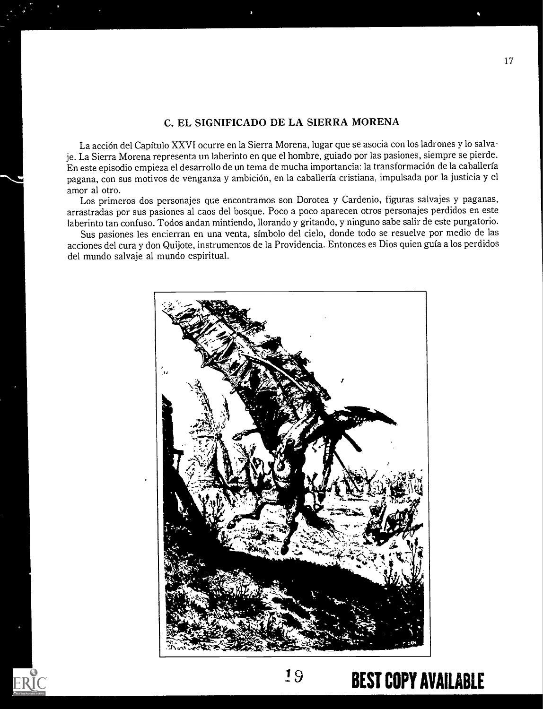#### C. EL SIGNIFICADO DE LA SIERRA MORENA

La acción del Capítulo XXVI ocurre en la Sierra Morena, lugar que se asocia con los ladrones y lo salvaje. La Sierra Morena representa un laberinto en que el hombre, guiado por las pasiones, siempre se pierde. En este episodio empieza el desarrollo de un tema de mucha importancia: la transformacion de la caballerfa pagana, con sus motivos de venganza y ambición, en la caballería cristiana, impulsada por la justicia y el amor al otro.

Los primeros dos personajes que encontramos son Dorotea y Cardenio, figuras salvajes y paganas, arrastradas por sus pasiones aI caos del bosque. Poco a poco aparecen otros personajes perdidos en este laberinto tan confuso. Todos andan mintiendo, llorando y gritando, y ninguno sabe salir de este purgatorio.

Sus pasiones les encierran en una yenta, simbolo del cielo, donde todo se resuelve por medio de las acciones del cura y don Quijote, instrumentos de la Providencia. Entonces es Dios quien gufa a los perdidos del mundo salvaje al mundo espiritual.





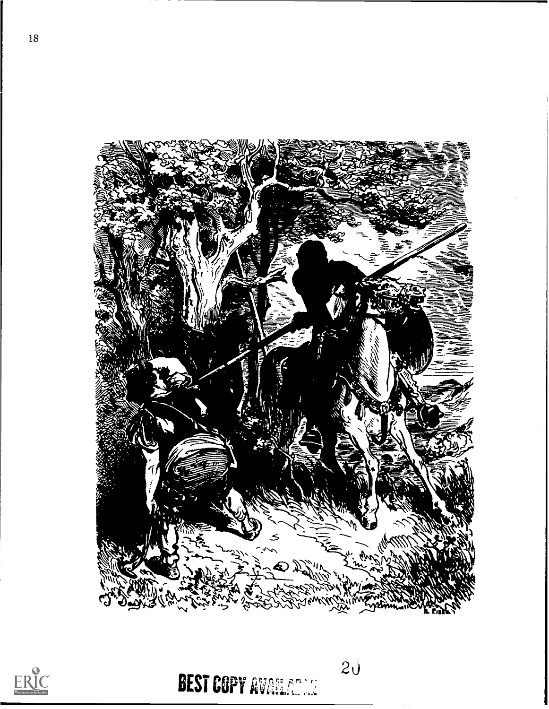



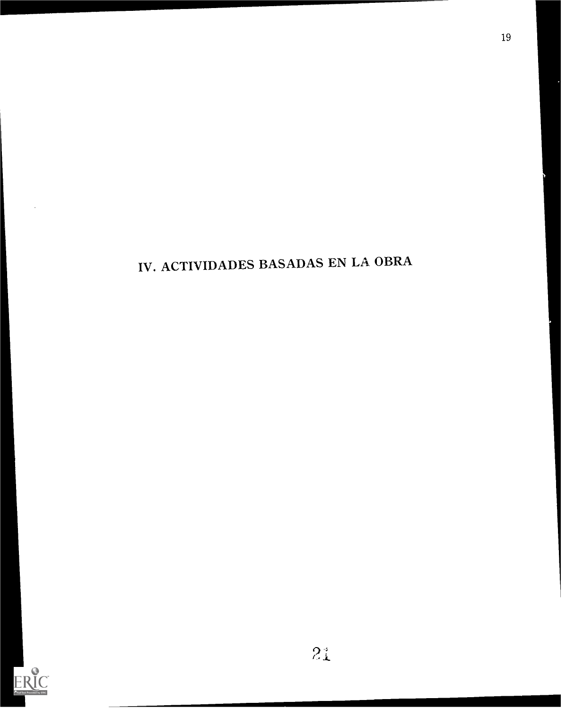IV. ACTIVIDADES BASADAS EN LA OBRA

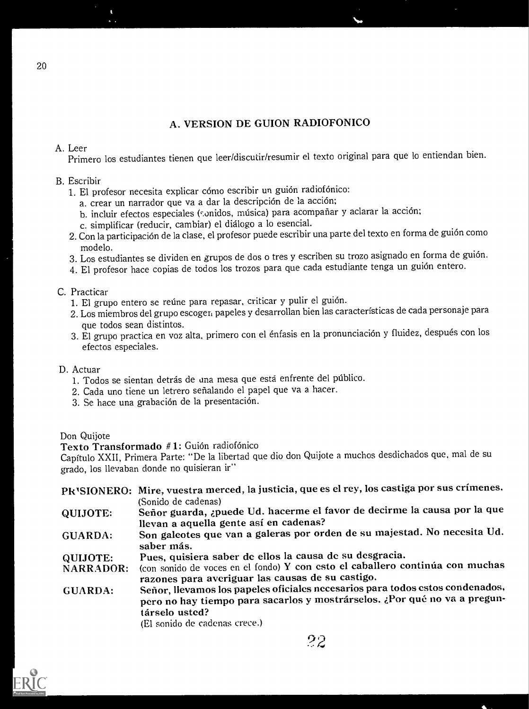## A. VERSION DE GUION RADIOFONICO

A. Leer Primero los estudiantes tienen que leer/discutir/resumir el texto original para que lo entiendan bien.

Nor

# B. Escribir

- 1. El profesor necesita explicar cómo escribir un guión radiofónico:
	- a. crear un narrador que va a dar la descripcion de la accion;
	- b. incluir efectos especiales (conidos, música) para acompañar y aclarar la acción;
	- c. simplificar (reducir, cambiar) el diálogo a lo esencial.
- 2. Con la participación de la clase, el profesor puede escribir una parte del texto en forma de guión como
- modelo.<br>3. Los estudiantes se dividen en grupos de dos o tres y escriben su trozo asignado en forma de guión.
- 4. El profesor hace copias de todos los trozos para que cada estudiante tenga un guión entero.

# C. Practicar

- 1. El grupo entero se reúne para repasar, criticar y pulir el guión.
- 2. Los miembros del grupo escogen papeles y desarrollan bien las caracterfsticas de cada personaje para que todos sean distintos.
- 3. El grupo practica en voz alta, primero con el énfasis en la pronunciación y fluidez, después con los efectos especiales.

#### D. Actuar

- 1. Todos se sientan detrás de una mesa que está enfrente del público.
- 2. Cada uno tiene un letrero sefialando el papel que va a hacer.
- 3. Se hace una grabación de la presentación.

#### Don Quijote

### Texto Transformado #1: Guión radiofónico

Capftulo XXII, Primera Parte: "De la libertad que dio don Quijote a muchos desdichados que, mal de su grado, los llevaban donde no quisieran

Pk'SIONERO: Mire, vuestra merced, la justicia, que es el rey, los castiga por sus crimenes. QUIJOTE: Señor guarda, ¿puede Ud. hacerme el 1<br>?levan a aquella gente así en cadenas GUARDA: QUIJOTE: NARRADOR: GUARDA: (Sonido de cadenas)<br>Señor guarda, ¿puede Ud. hacerme el favor de decirme la causa por la que Son galeotes que van a galeras por orden de su majestad. No necesita Ud. saber más. Pues, quisiera saber de ellos la causa de su desgracia. (con sonido de voces en el fondo) Y con esto el caballero continua con muchas razones para averiguar las causas de su castigo. Senor, llevamos los papeles oficiales necesarios para todos estos condenados, pero no hay tiempo para sacarlos y mostrárselos. ¿Por qué no va a preguntárselo usted?

(El sonido de cadenas crece.)

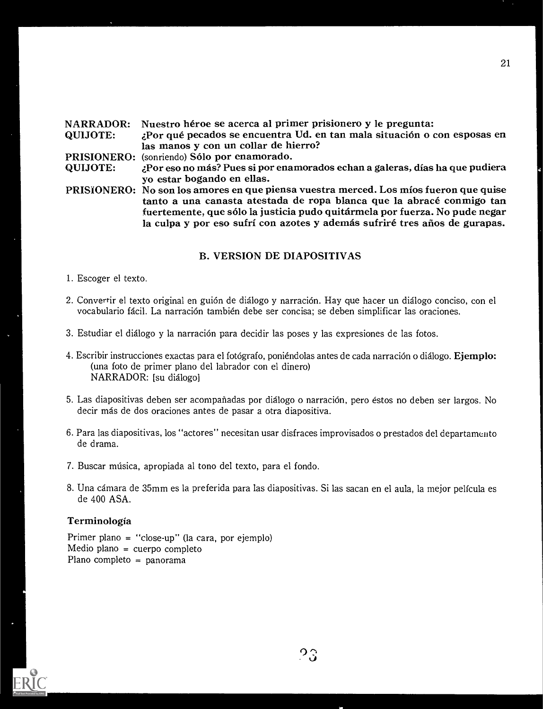| <b>NARRADOR:</b> | Nuestro héroe se acerca al primer prisionero y le pregunta:                                                                                                                                                                                                                                                                 |
|------------------|-----------------------------------------------------------------------------------------------------------------------------------------------------------------------------------------------------------------------------------------------------------------------------------------------------------------------------|
| QUIJOTE:         | ¿Por qué pecados se encuentra Ud. en tan mala situación o con esposas en<br>las manos y con un collar de hierro?                                                                                                                                                                                                            |
|                  |                                                                                                                                                                                                                                                                                                                             |
|                  | PRISIONERO: (sonriendo) Sólo por enamorado.                                                                                                                                                                                                                                                                                 |
| QUIJOTE:         | ¿Por eso no más? Pues si por enamorados echan a galeras, días ha que pudiera<br>yo estar bogando en ellas.                                                                                                                                                                                                                  |
|                  | PRISIONERO: No son los amores en que piensa vuestra merced. Los míos fueron que quise<br>tanto a una canasta atestada de ropa blanca que la abracé conmigo tan<br>fuertemente, que sólo la justicia pudo quitármela por fuerza. No pude negar<br>la culpa y por eso sufrí con azotes y además sufriré tres años de gurapas. |
|                  |                                                                                                                                                                                                                                                                                                                             |

#### B. VERSION DE DIAPOSITIVAS

- 1. Escoger el texto.
- 2. Convertir el texto original en guión de diálogo y narración. Hay que hacer un diálogo conciso, con el vocabulario facil. La narracion tambien debe ser concisa; se deben simplificar las oraciones.
- 3. Estudiar el diálogo y la narración para decidir las poses y las expresiones de las fotos.
- 4. Escribir instrucciones exactas para el fotógrafo, poniéndolas antes de cada narración o diálogo. Ejemplo: (una foto de primer piano del labrador con el dinero) NARRADOR: [su dialogo]
- 5. Las diapositivas deben ser acompañadas por diálogo o narración, pero éstos no deben ser largos. No decir más de dos oraciones antes de pasar a otra diapositiva.
- 6. Para las diapositivas, los "actores" necesitan usar disfraces improvisados o prestados del departamento de drama.
- 7. Buscar música, apropiada al tono del texto, para el fondo.
- 8. Una cámara de 35mm es la preferida para las diapositivas. Si las sacan en el aula, la mejor película es de 400 ASA.

#### Terminologia

Primer piano = "close-up" (la cara, por ejemplo) Medio piano = cuerpo completo Plano completo = panorama

21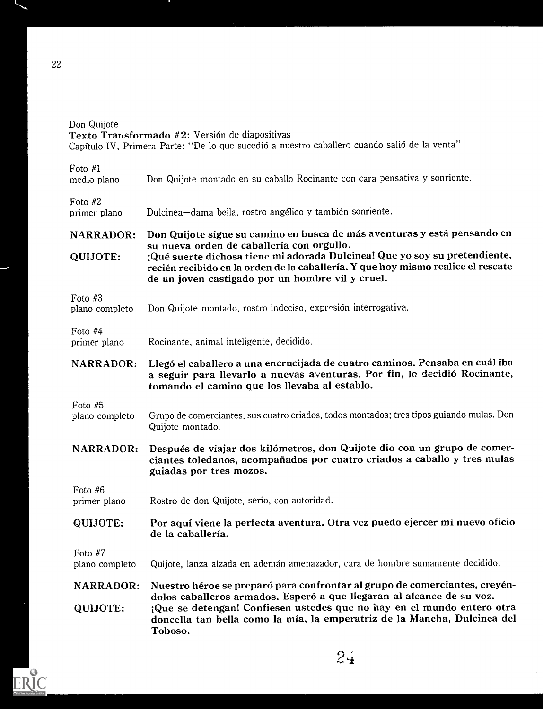| Don Quijote                  | Texto Transformado #2: Versión de diapositivas                                                                                                                                                                                                                                                                                              |
|------------------------------|---------------------------------------------------------------------------------------------------------------------------------------------------------------------------------------------------------------------------------------------------------------------------------------------------------------------------------------------|
|                              | Capítulo IV, Primera Parte: ''De lo que sucedió a nuestro caballero cuando salió de la venta''                                                                                                                                                                                                                                              |
| Foto #1<br>medio plano       | Don Quijote montado en su caballo Rocinante con cara pensativa y sonriente.                                                                                                                                                                                                                                                                 |
| Foto #2<br>primer plano      | Dulcinea-dama bella, rostro angélico y también sonriente.                                                                                                                                                                                                                                                                                   |
| <b>NARRADOR:</b><br>QUIJOTE: | Don Quijote sigue su camino en busca de más aventuras y está pensando en<br>su nueva orden de caballería con orgullo.<br>¡Qué suerte dichosa tiene mi adorada Dulcinea! Que yo soy su pretendiente,<br>recién recibido en la orden de la caballería. Y que hoy mismo realice el rescate<br>de un joven castigado por un hombre vil y cruel. |
| Foto $#3$<br>plano completo  | Don Quijote montado, rostro indeciso, expresión interrogativa.                                                                                                                                                                                                                                                                              |
| Foto #4<br>primer plano      | Rocinante, animal inteligente, decidido.                                                                                                                                                                                                                                                                                                    |
| <b>NARRADOR:</b>             | Llegó el caballero a una encrucijada de cuatro caminos. Pensaba en cuál iba<br>a seguir para llevarlo a nuevas aventuras. Por fin, lo decidió Rocinante,<br>tomando el camino que los llevaba al establo.                                                                                                                                   |
| Foto #5<br>plano completo    | Grupo de comerciantes, sus cuatro criados, todos montados; tres tipos guiando mulas. Don<br>Quijote montado.                                                                                                                                                                                                                                |
| <b>NARRADOR:</b>             | Después de viajar dos kilómetros, don Quijote dio con un grupo de comer-<br>ciantes toledanos, acompañados por cuatro criados a caballo y tres mulas<br>guiadas por tres mozos.                                                                                                                                                             |
| Foto #6<br>primer plano      | Rostro de don Quijote, serio, con autoridad.                                                                                                                                                                                                                                                                                                |
| QUIJOTE:                     | Por aquí viene la perfecta aventura. Otra vez puedo ejercer mi nuevo oficio<br>de la caballería.                                                                                                                                                                                                                                            |
| Foto $#7$<br>plano completo  | Quijote, lanza alzada en ademán amenazador, cara de hombre sumamente decidido.                                                                                                                                                                                                                                                              |
| <b>NARRADOR:</b>             | Nuestro héroe se preparó para confrontar al grupo de comerciantes, creyén-                                                                                                                                                                                                                                                                  |
| QUIJOTE:                     | dolos caballeros armados. Esperó a que llegaran al alcance de su voz.<br>¡Que se detengan! Confiesen ustedes que no hay en el mundo entero otra<br>doncella tan bella como la mía, la emperatriz de la Mancha, Dulcinea del<br>Toboso.                                                                                                      |



 $\ddot{\phantom{0}}$ 

V

 $\boxed{\prod\limits_{\lambda_{\text{full flat}}}\hspace{-0.1cm}\prod\limits_{\text{pounds}}}\hspace{-0.1cm}\prod\limits_{\text{p}}$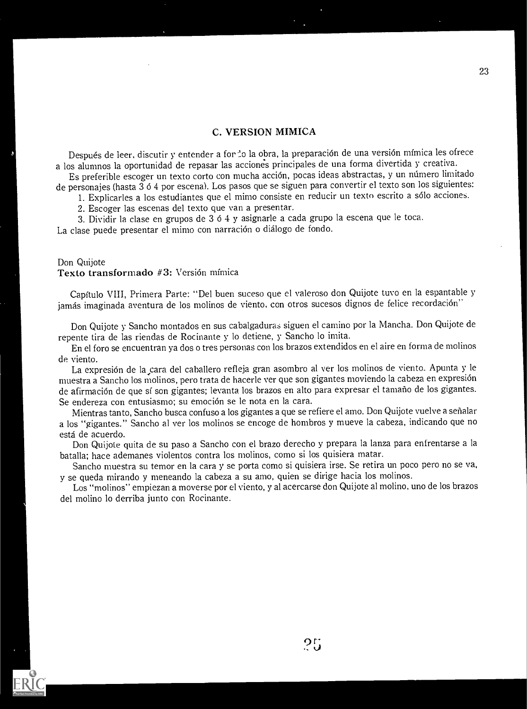#### C. VERSION MIMICA

Después de leer, discutir y entender a for lo la obra, la preparación de una versión mímica les ofrece a los alumnos la oportunidad de repasar las acciones principales de una forma divertida y creativa.

Es preferible escoger un texto corto con mucha acción, pocas ideas abstractas, y un número limitado de personajes (hasta 3 6 4 por escena). Los pasos que se siguen para convertir el texto son los siguientes:

1. Explicarles a los estudiantes que el mimo consiste en reducir un texto escrito a sólo acciones.

2. Escoger las escenas del texto que van a presentar.

3. Dividir la clase en grupos de 3 6 4 y asignarle a cada grupo la escena que le toca.

La clase puede presentar el mimo con narración o diálogo de fondo.

#### Don Quijote

#### Texto transformado #3: Versión mímica

Capftulo VIII, Primera Parte: "Del buen suceso que el valeroso don Quijote tuvo en la espantable y jamás imaginada aventura de los molinos de viento, con otros sucesos dignos de felice recordación''

Don Quijote y Sancho montados en sus cabalgaduras siguen el camino por la Mancha. Don Quijote de repente tira de las riendas de Rocinante y lo detiene, y Sancho lo imita.

En el foro se encuentran ya dos o tres personas con los brazos extendidos en el aire en forma de molinos de viento.

La expresión de la cara del caballero refleja gran asombro al ver los molinos de viento. Apunta y le muestra a Sancho los molinos, pero trata de hacerle ver que son gigantes moviendo la cabeza en expresion de afirmación de que sí son gigantes; levanta los brazos en alto para expresar el tamaño de los gigantes. Se endereza con entusiasmo; su emoción se le nota en la cara.

Mientras tanto, Sancho busca confuso a los gigantes a que se refiere el amo. Don Quijote vuelve a senalar a los "gigantes." Sancho al ver los molinos se encoge de hombros y mueve la cabeza, indicando que no está de acuerdo.

Don Quijote quita de su paso a Sancho con el brazo derecho y prepara la lanza para enfrentarse a la batalla; hace ademanes violentos contra los molinos, como si los quisiera matar.

Sancho muestra su temor en la cara y se porta como si quisiera irse. Se retira un poco pero no se va, y se queda mirando y meneando la cabeza a su amo, quien se dirige hacia los molinos.

Los "molinos" empiezan a moverse por el viento, y al acercarse don Quijote al molino, uno de los brazos del molino lo derriba junto con Rocinante.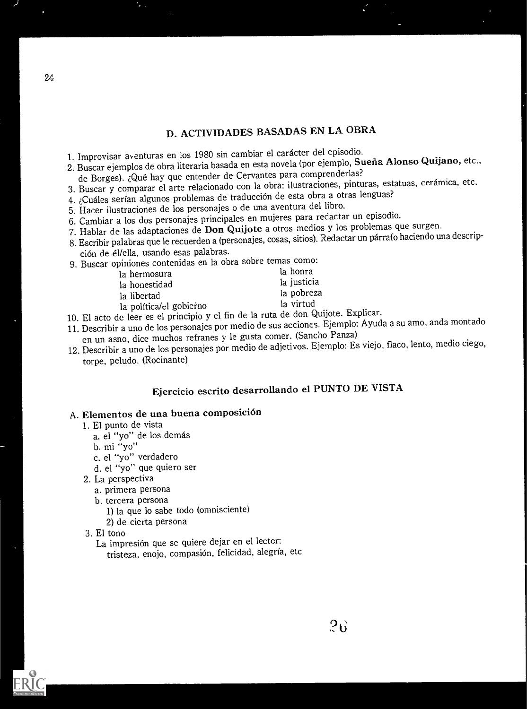# D. ACTIVIDADES BASADAS EN LA OBRA

1. Improvisar av enturas en los 1980 sin cambiar el caracter del episodio.

- 2. Buscar ejemplos de obra literaria basada en esta novela (por ejemplo, Sueña Alonso Quijano, etc., de Borges). ¿Qué hay que entender de Cervantes para comprenderlas?
- 3. Buscar y comparar eI arte relacionado con la obra: ilustraciones, pinturas, estatuas, ceramica, etc.
- 4. ¿Cuáles serían algunos problemas de traducción de esta obra a otras lenguas?
- 5. Hacer ilustraciones de los personajes o de una aventura del libro.
- 6. Cambiar a los dos personajes principales en mujeres para redactar un episodio.
- 7. Hablar de las adaptaciones de Don Quijote a otros medios y los problemas que surgen.
- 8. Escribir palabras que le recuerden a (personajes, cosas, sitios). Redactar un párrafo haciendo una descripción de él/ella, usando esas palabras.
- 9. Buscar opiniones contenidas en la obra sobre temas como:
	- - la hermosura la honra
		- la honestidad la justicia
			-
- 
- la libertad<br>la política/el gobierno<br>la virtud la política/el gobierno la virtud
- 10. El acto de leer es el principio y el fin de la ruta de don Quijote. Explicar.
- 11. Describir a uno de los personajes por medio de sus acciones. Ejemplo: Ayuda a su amo, anda montado en un asno, dice muchos refranes y le gusta comer. (Sancho Panza)
- 12. Describir a uno de los personajes por medio de adjetivos. Ejemplo: Es viejo, flaco, lento, medio ciego, torpe, peludo. (Rocinante)

# Ejercicio escrito desarrollando el PUNTO DE VISTA

 $26$ 

### A. Elementos de una buena composicion

- 1. El punto de vista
	- a. el "yo" de los demás

b. mi "yo"

- c. el "yo" verdadero
- d. el "yo" que quiero ser
- 2. La perspectiva
	- a. primera persona
	- b. tercera persona
		- 1) la que lo sabe todo (omnisciente)
		- 2) de cierta persona
- 3. El tono
	- La impresión que se quiere dejar en el lector:
		- tristeza, enojo, compasión, felicidad, alegría, etc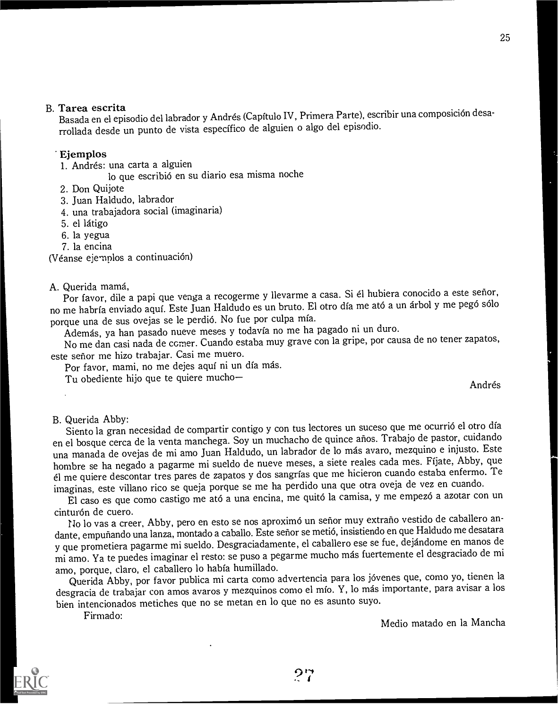B. Tarea escrita<br>Basada en el episodio del labrador y Andrés (Capítulo IV, Primera Parte), escribir una composición desarrollada desde un punto de vista especifico de alguien o algo del episodio.

#### Ejemplos

1. Andrés: una carta a alguien

lo que escribio en su diario esa misma noche

2. Don Quijote

3. Juan Haldudo, labrador

4. una trabajadora social (imaginaria)

5. el latigo

6. la yegua

7. la encina

(Veanse ejemplos a continuacion)

A. Querida mama, Por favor, dile a papi que venga a recogerme y llevarme a casa. Si el hubiera conocido a este senor, no me habria enviado aqui. Este Juan Haldudo es un bruto. El otro dia me ato a un arbol y me pego solo porque una de sus ovejas se le perdio. No fue por culpa mia.

Además, ya han pasado nueve meses y todavía no me ha pagado ni un duro.

No me dan casi nada de comer. Cuando estaba muy grave con la gripe, por causa de no tener zapatos, este senor me hizo trabajar. Casi me muero.

Por favor, mami, no me dejes aquí ni un día más.

Tu obediente hijo que te quiere mucho — en entre metal de la provincia de la provincia de la provincia de la p

B. Querida Abby:

Siento la gran necesidad de compartir contigo y con tus lectores un suceso que me ocurrio el otro dia en el bosque cerca de la yenta manchega. Soy un muchacho de quince arios. Trabajo de pastor, cuidando una manada de ovejas de mi amo Juan Haldudo, un labrador de lo mas avaro, mezquino e injusto. Este hombre se ha negado a pagarme mi sueldo de nueve meses, a siete reales cada mes. Fijate, Abby, que el me quiere descontar tres pares de zapatos y dos sangrias que me hicieron cuando estaba enfermo. Te imaginas, este villano rico se queja porque se me ha perdido una que otra oveja de vez en cuando.

El caso es que como castigo me ató a una encina, me quitó la camisa, y me empezó a azotar con un cinturón de cuero.

No lo vas a creer, Abby, pero en esto se nos aproximó un señor muy extraño vestido de caballero andante, empuñando una lanza, montado a caballo. Este señor se metió, insistiendo en que Haldudo me desatara y que prometiera pagarme mi sueldo. Desgraciadamente, el caballero ese se fue, dejandome en manos de mi amo. Ya te puedes imaginar el resto: se puso a pegarme mucho mas fuertemente el desgraciado de mi amo, porque, claro, el caballero lo habia humillado.

Querida Abby, por favor publica mi carta como advertencia para los jóvenes que, como yo, tienen la desgracia de trabajar con amos avaros y mezquinos como el mío. Y, lo más importante, para avisar a los bien intencionados metiches que no se metan en lo que no es asunto suyo.

Firmado: Medio matado en la Mancha



27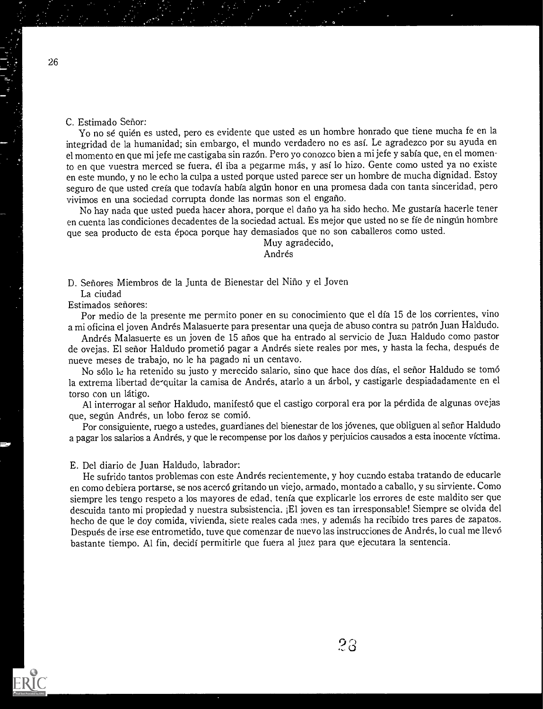#### C. Estimado Senor:

Yo no sé quién es usted, pero es evidente que usted es un hombre honrado que tiene mucha fe en la integridad de la humanidad; sin embargo, el mundo verdadero no es asf. Le agradezco por su ayuda en el momento en que mi jefe me castigaha sin razon. Pero yo conozco bien a mi jefe y sabfa que, en el momento en que vuestra merced se fuera, el iba a pegarme mas, y asf lo hizo. Gente como usted ya no existe en este mundo, y no le echo la culpa a usted porque usted parece ser un hombre de mucha dignidad. Estoy seguro de que usted crefa que todavfa habfa algin honor en una promesa dada con tanta sinceridad, pero vivimos en una sociedad corrupta donde las normas son el engario.

No hay nada que usted pueda hacer ahora, porque el daño ya ha sido hecho. Me gustaría hacerle tener en cuenta las condiciones decadentes de la sociedad actual. Es mejor que usted no se fíe de ningún hombre que sea producto de esta epoca porque hay demasiados que no son caballeros como usted.

#### Muy agradecido, Andrés

D. Senores Miernbros de la Junta de Bienestar del Nifio y el Joven

La ciudad

Estimados senores:

Por medio de la presente me permito poner en su conocimiento que el dia 15 de los corrientes, vino a mi oficina el joven Andrés Malasuerte para presentar una queja de abuso contra su patrón Juan Haldudo.

Andrés Malasuerte es un joven de 15 años que ha entrado al servicio de Juan Haldudo como pastor de ovejas. El señor Haldudo prometió pagar a Andrés siete reales por mes, y hasta la fecha, después de nueve meses de trabajo, no le ha pagado ni un centavo.

No sólo le ha retenido su justo y merecido salario, sino que hace dos días, el señor Haldudo se tomó la extrema libertad de-quitar la camisa de Andrés, atarlo a un árbol, y castigarle despiadadamente en el torso con un

Al interrogar al señor Haldudo, manifestó que el castigo corporal era por la pérdida de algunas ovejas que, según Andrés, un lobo feroz se comió.

Por consiguiente, ruego a ustedes, guardianes del bienestar de los jóvenes, que obliguen al señor Haldudo a pagar los salarios a Andres, y que le recompense por los danos y perjuicios causados a esta inocente vfctima.

#### E. Del diario de Juan Haldudo, labrador:

He sufrido tantos problemas con este Andrés recientemente, y hoy cuando estaba tratando de educarle en como debiera portarse, se nos acercó gritando un viejo, armado, montado a caballo, y su sirviente. Como siempre les tengo respeto a los mayores de edad, tenfa que explicarle los errores de este maldito ser que descuida tanto mi propiedad y nuestra subsistencia. 1E1 joven es tan irresponsable! Siempre se olvida del hecho de que le doy comida, vivienda, siete reales cada mes, y ademas ha recibido tres pares de zapatos. Después de irse ese entrometido, tuve que comenzar de nuevo las instrucciones de Andrés, lo cual me llevó bastante tiempo. Al fin, decidf permitirle que fuera al juez para que ejecutara la sentencia.



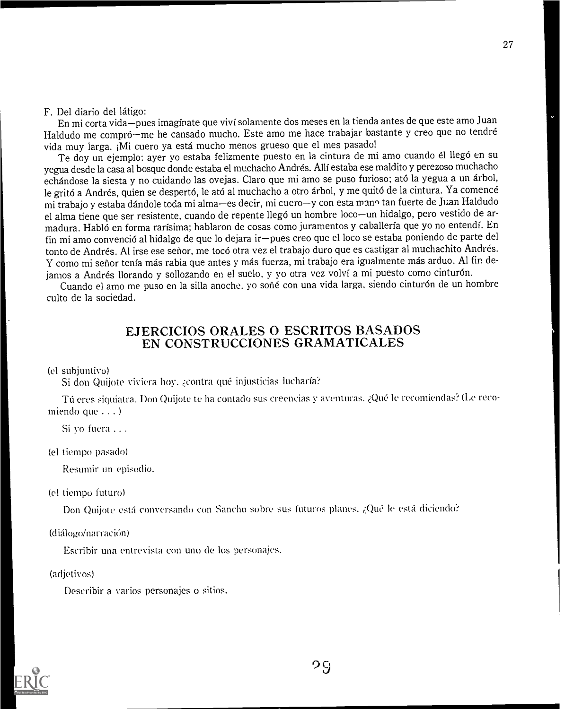#### F. Del diario del latigo:

En mi corta vida-pues imagínate que viví solamente dos meses en la tienda antes de que este amo Juan Haldudo me compró-me he cansado mucho. Este amo me hace trabajar bastante y creo que no tendré vida muy larga. iMi cuero ya esta mucho menos grueso que el mes pasado!

Te doy un ejemplo: ayer yo estaba felizmente puesto en la cintura de mi amo cuando él llegó en su yegua desde la casa al bosque donde estaba el muchacho Andrés. Allí estaba ese maldito y perezoso muchacho echándose la siesta y no cuidando las ovejas. Claro que mi amo se puso furioso; ató la yegua a un árbol, le gritó a Andrés, quien se despertó, le ató al muchacho a otro árbol, y me quitó de la cintura. Ya comencé mi trabajo y estaba dándole toda mi alma-es decir, mi cuero-y con esta mano tan fuerte de Juan Haldudo el alma tiene que ser resistente, cuando de repente llegó un hombre loco-un hidalgo, pero vestido de armadura. Habló en forma rarísima; hablaron de cosas como juramentos y caballería que yo no entendí. En fin mi amo convenció al hidalgo de que lo dejara ir-pues creo que el loco se estaba poniendo de parte del tonto de Andrés. Al irse ese señor, me tocó otra vez el trabajo duro que es castigar al muchachito Andrés. Y como mi señor tenía más rabia que antes y más fuerza, mi trabajo era igualmente más arduo. Al fin dejamos a Andrés llorando y sollozando en el suelo, y yo otra vez volví a mi puesto como cinturón.

Cuando el amo me puso en la silla anoche. yo soñé con una vida larga, siendo cinturón de un hombre culto de la sociedad.

### EJERCICIOS ORALES 0 ESCRITOS BASADOS EN CONSTRUCCIONES GRAMATICALES

#### (el subjuntivo)

Si don Quijote viviera hov. ¿contra qué injusticias lucharía?

Tú eres siquiatra. Don Quijote te ha contado sus creencias y aventuras. ¿Qué le recomiendas? (Le recomiendo que .

Si vo fuera . . .

(el tiempo pasado)

Resumir un episodio.

(el tiempo futuro)

Don Quijote está conversando con Sancho sobre sus futuros planes. ¿Qué le está diciendo?

(diálogo/narración)

Escribir una entrevista con uno de los personajes.

(adjetivos)

Describir a varios personajes o sitios.

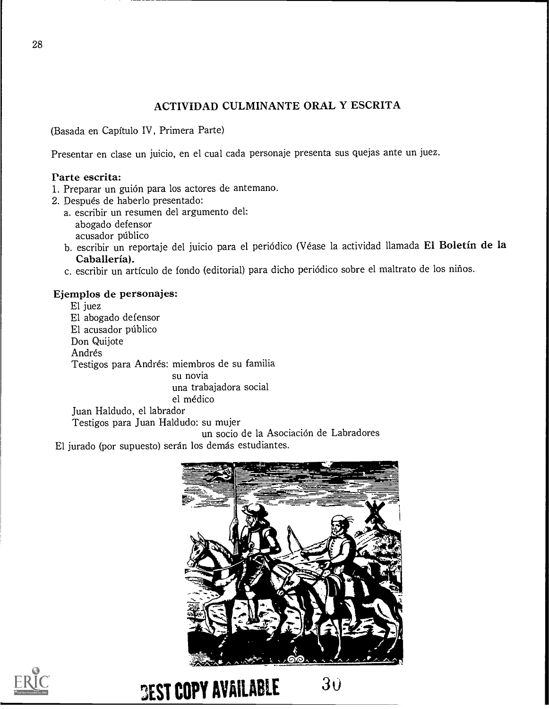### ACTIVIDAD CULMINANTE ORAL Y ESCRITA

(Basada en Capftulo IV, Primera Parte)

Presentar en clase un juicio, en el cual cada personaje presenta sus quejas ante un juez.

#### Parte escrita:

28

- 1. Preparar un guión para los actores de antemano.
- 2. Después de haberlo presentado:
	- a. escribir un resumen del argumento del: abogado defensor acusador público
	- b. escribir un reportaje del juicio para el periódico (Véase la actividad llamada El Boletín de la Caballeria).
	- c. escribir un artículo de fondo (editorial) para dicho periódico sobre el maltrato de los niños.

#### Ejemplos de personajes:

El juez El abogado defensor El acusador pdblico Don Quijote Andrés Testigos para Andrés: miembros de su familia su novia una trabajadora social el medico Juan Haldudo, el labrador

Testigos para Juan Haldudo: su mujer

un socio de la Asociación de Labradores

**DEST COPY AVAILABLE**  $30$ 

El jurado (por supuesto) serán los demás estudiantes.



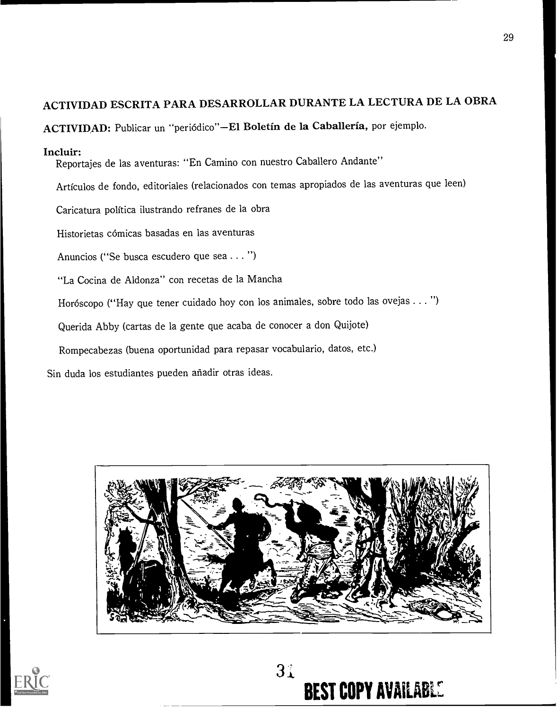# ACTIVIDAD ESCRITA PARA DESARROLLAR DURANTE LA LECTURA DE LA OBRA

ACTIVIDAD: Publicar un "periódico"-El Boletín de la Caballería, por ejemplo.

#### Incluir:

Reportajes de las aventuras: "En Camino con nuestro Caballero Andante"

Articulos de fondo, editoriales (relacionados con temas apropiados de las aventuras que leen)

Caricatura politica ilustrando refranes de la obra

Historietas cómicas basadas en las aventuras

Anuncios ("Se busca escudero que sea . . . ")

"La Cocina de Aldonza" con recetas de la Mancha

Horóscopo ("Hay que tener cuidado hoy con los animales, sobre todo las ovejas . . . ")

Querida Abby (cartas de la gente que acaba de conocer a don Quijote)

Rompecabezas (buena oportunidad para repasar vocabulario, datos, etc.)

Sin duda los estudiantes pueden añadir otras ideas.





 $31$ **BEST COPY AVAILABLE**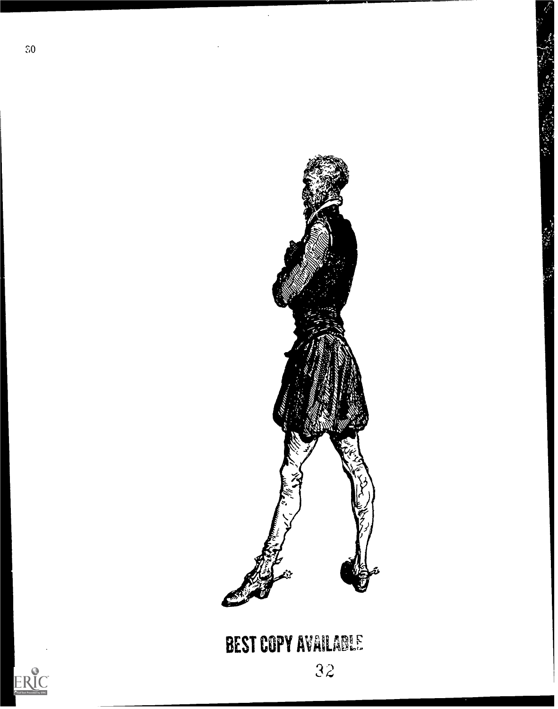



 $\overline{\phantom{a}}$ 

Ķ

 $\ddot{\phantom{a}}$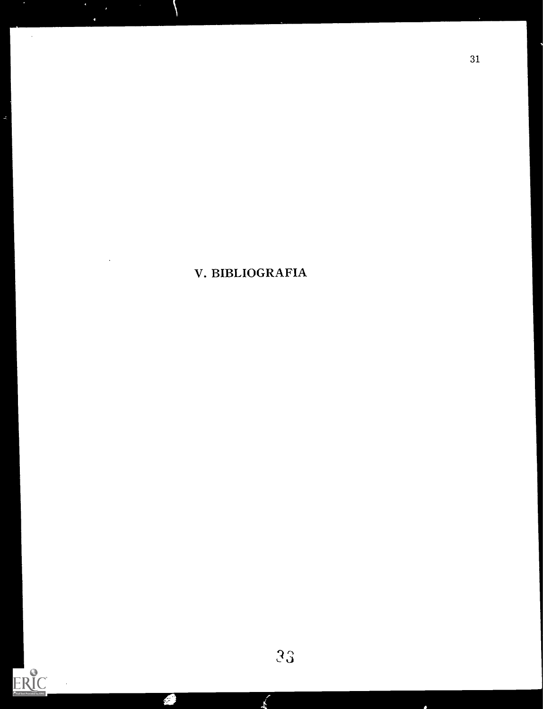V. BIBLIOGRAFIA



 $\bar{z}$ 

 $\overline{a}$ 

ķ

 $\overline{\bullet}$ 

31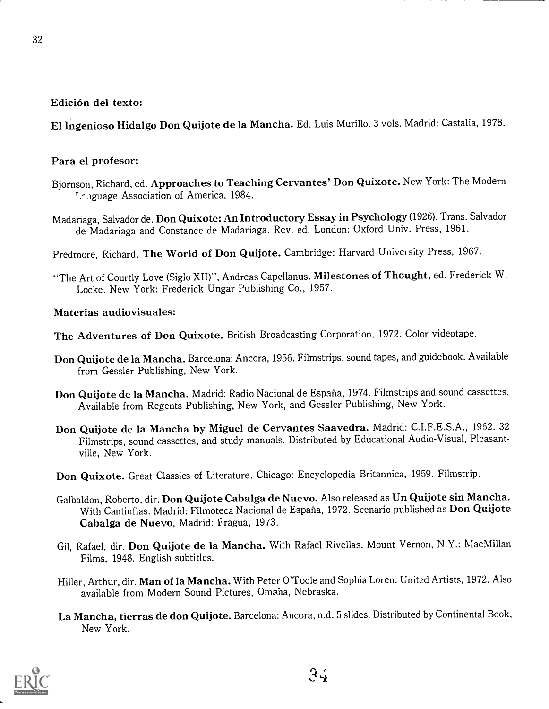#### Edición del texto:

El Ingenioso Hidalgo Don Quijote de la Mancha. Ed. Luis Murillo. 3 vols. Madrid: Castalia, 1978.

#### Para el profesor:

- Bjornson, Richard, ed. Approaches to Teaching Cervantes' Don Quixote. New York: The Modern L- aguage Association of America, 1984.
- Madariaga, Salvador de. Don Quixote: An Introductory Essay in Psychology (1926). Trans. Salvador de Madariaga and Constance de Madariaga. Rev. ed. London: Oxford Univ. Press, 1961.

Predmore, Richard. The World of Don Quijote. Cambridge: Harvard University Press, 1967.

"The Art of Courtly Love (Siglo XII)", Andreas Capellanus. Milestones of Thought, ed. Frederick W. Locke. New York: Frederick Ungar Publishing Co., 1957.

#### Materias audiovisuales:

The Adventures of Don Quixote. British Broadcasting Corporation, 1972. Color videotape.

- Don Quijote de la Mancha. Barcelona: Ancora, 1956. Filmstrips, sound tapes, and guidebook. Available from Gessler Publishing, New York.
- Don Quijote de la Mancha. Madrid: Radio Nacional de España, 1974. Filmstrips and sound cassettes. Available from Regents Publishing, New York, and Gessler Publishing, New York.
- Don Quijote de la Mancha by Miguel de Cervantes Saavedra. Madrid: C.I.F.E.S.A., 1952. 32 Filmstrips, sound cassettes, and study manuals. Distributed by Educational Audio-Visual, Pleasantville, New York.
- Don Quixote. Great Classics of Literature. Chicago: Encyclopedia Britannica, 1959. Filmstrip.
- Galbaldon, Roberto, dir. Don Quijote Cabalga de Nuevo. Also released as Un Quijote sin Mancha. With Cantinflas. Madrid: Filmoteca Nacional de España, 1972. Scenario published as Don Quijote Cabalga de Nuevo, Madrid: Fragua, 1973.
- Gil, Rafael, dir. Don Quijote de la Mancha. With Rafael Rivellas. Mount Vernon, N.Y.: MacMillan Films, 1948. English subtitles.
- Hiller, Arthur, dir. Man of la Mancha. With Peter O'Toole and Sophia Loren. United Artists, 1972. Also available from Modern Sound Pictures, Omaha, Nebraska.
- La Mancha, tierras de don Quijote. Barcelona: Ancora, n.d. 5 slides. Distributed by Continental Book, New York.



 $\mathcal{S}_{\mathbf{H}}$